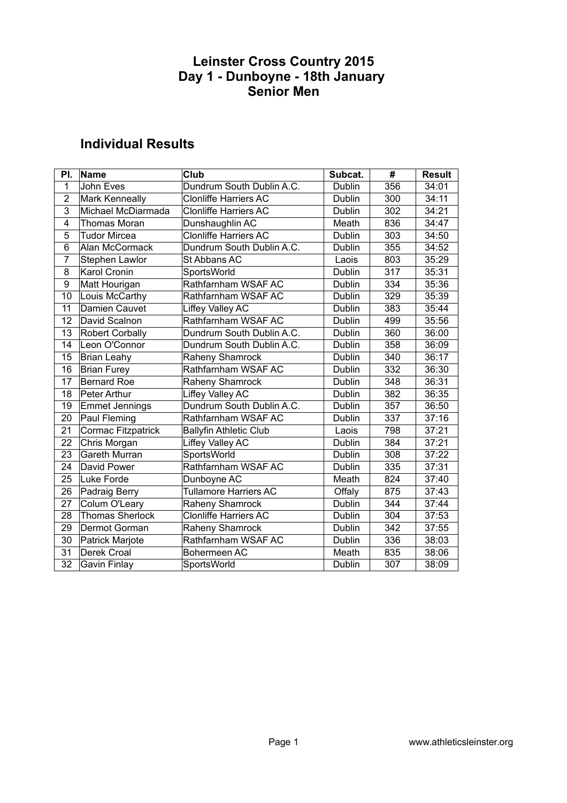### **Individual Results**

| PI.            | <b>Name</b>            | Club                          | Subcat.       | #   | Result |
|----------------|------------------------|-------------------------------|---------------|-----|--------|
| $\mathbf{1}$   | John Eves              | Dundrum South Dublin A.C.     | <b>Dublin</b> | 356 | 34:01  |
| $\overline{2}$ | Mark Kenneally         | <b>Clonliffe Harriers AC</b>  | Dublin        | 300 | 34:11  |
| 3              | Michael McDiarmada     | <b>Clonliffe Harriers AC</b>  | Dublin        | 302 | 34:21  |
| 4              | Thomas Moran           | Dunshaughlin AC               | Meath         | 836 | 34:47  |
| 5              | <b>Tudor Mircea</b>    | <b>Clonliffe Harriers AC</b>  | Dublin        | 303 | 34:50  |
| 6              | Alan McCormack         | Dundrum South Dublin A.C.     | Dublin        | 355 | 34:52  |
| $\overline{7}$ | Stephen Lawlor         | St Abbans AC                  | Laois         | 803 | 35:29  |
| 8              | <b>Karol Cronin</b>    | SportsWorld                   | Dublin        | 317 | 35:31  |
| 9              | Matt Hourigan          | Rathfarnham WSAF AC           | Dublin        | 334 | 35:36  |
| 10             | Louis McCarthy         | Rathfarnham WSAF AC           | Dublin        | 329 | 35:39  |
| 11             | Damien Cauvet          | Liffey Valley AC              | Dublin        | 383 | 35:44  |
| 12             | David Scalnon          | Rathfarnham WSAF AC           | Dublin        | 499 | 35:56  |
| 13             | <b>Robert Corbally</b> | Dundrum South Dublin A.C.     | Dublin        | 360 | 36:00  |
| 14             | Leon O'Connor          | Dundrum South Dublin A.C.     | Dublin        | 358 | 36:09  |
| 15             | <b>Brian Leahy</b>     | Raheny Shamrock               | Dublin        | 340 | 36:17  |
| 16             | <b>Brian Furey</b>     | Rathfarnham WSAF AC           | Dublin        | 332 | 36:30  |
| 17             | <b>Bernard Roe</b>     | Raheny Shamrock               | Dublin        | 348 | 36:31  |
| 18             | Peter Arthur           | Liffey Valley AC              | Dublin        | 382 | 36:35  |
| 19             | <b>Emmet Jennings</b>  | Dundrum South Dublin A.C.     | Dublin        | 357 | 36:50  |
| 20             | Paul Fleming           | Rathfarnham WSAF AC           | Dublin        | 337 | 37:16  |
| 21             | Cormac Fitzpatrick     | <b>Ballyfin Athletic Club</b> | Laois         | 798 | 37:21  |
| 22             | Chris Morgan           | Liffey Valley AC              | Dublin        | 384 | 37:21  |
| 23             | Gareth Murran          | SportsWorld                   | Dublin        | 308 | 37:22  |
| 24             | David Power            | Rathfarnham WSAF AC           | Dublin        | 335 | 37:31  |
| 25             | Luke Forde             | Dunboyne AC                   | Meath         | 824 | 37:40  |
| 26             | Padraig Berry          | <b>Tullamore Harriers AC</b>  | Offaly        | 875 | 37:43  |
| 27             | Colum O'Leary          | Raheny Shamrock               | <b>Dublin</b> | 344 | 37:44  |
| 28             | <b>Thomas Sherlock</b> | <b>Clonliffe Harriers AC</b>  | Dublin        | 304 | 37:53  |
| 29             | Dermot Gorman          | Raheny Shamrock               | Dublin        | 342 | 37:55  |
| 30             | Patrick Marjote        | Rathfarnham WSAF AC           | Dublin        | 336 | 38:03  |
| 31             | Derek Croal            | Bohermeen AC                  | Meath         | 835 | 38:06  |
| 32             | Gavin Finlay           | SportsWorld                   | Dublin        | 307 | 38:09  |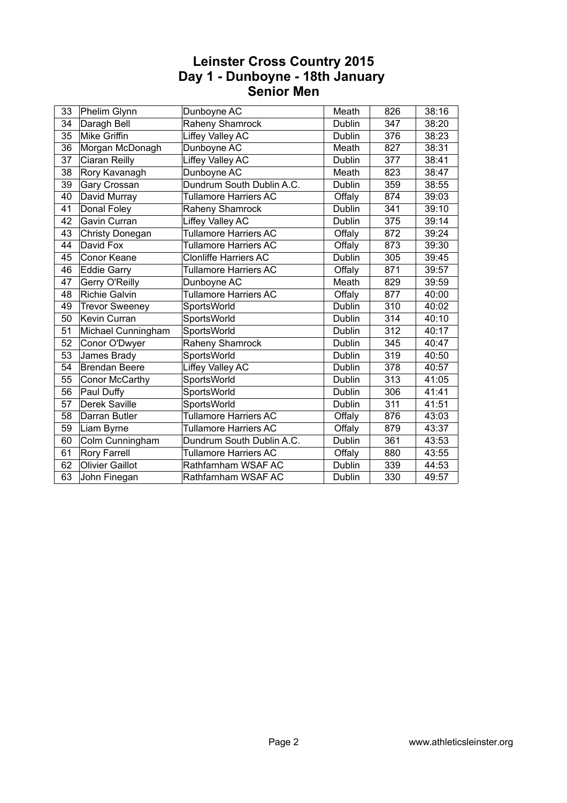| 33 | Phelim Glynn           | Dunboyne AC                  | Meath         | 826 | 38:16 |
|----|------------------------|------------------------------|---------------|-----|-------|
| 34 | Daragh Bell            | Raheny Shamrock              | Dublin        | 347 | 38:20 |
| 35 | <b>Mike Griffin</b>    | Liffey Valley AC             | Dublin        | 376 | 38:23 |
| 36 | Morgan McDonagh        | Dunboyne AC                  | Meath         | 827 | 38:31 |
| 37 | <b>Ciaran Reilly</b>   | Liffey Valley AC             | Dublin        | 377 | 38:41 |
| 38 | Rory Kavanagh          | Dunboyne AC                  | Meath         | 823 | 38:47 |
| 39 | Gary Crossan           | Dundrum South Dublin A.C.    | Dublin        | 359 | 38:55 |
| 40 | David Murray           | <b>Tullamore Harriers AC</b> | Offaly        | 874 | 39:03 |
| 41 | Donal Foley            | Raheny Shamrock              | Dublin        | 341 | 39:10 |
| 42 | Gavin Curran           | Liffey Valley AC             | Dublin        | 375 | 39:14 |
| 43 | Christy Donegan        | <b>Tullamore Harriers AC</b> | Offaly        | 872 | 39:24 |
| 44 | David Fox              | <b>Tullamore Harriers AC</b> | Offaly        | 873 | 39:30 |
| 45 | Conor Keane            | <b>Clonliffe Harriers AC</b> | Dublin        | 305 | 39:45 |
| 46 | <b>Eddie Garry</b>     | <b>Tullamore Harriers AC</b> | Offaly        | 871 | 39:57 |
| 47 | Gerry O'Reilly         | Dunboyne AC                  | Meath         | 829 | 39:59 |
| 48 | <b>Richie Galvin</b>   | <b>Tullamore Harriers AC</b> | Offaly        | 877 | 40:00 |
| 49 | <b>Trevor Sweeney</b>  | SportsWorld                  | Dublin        | 310 | 40:02 |
| 50 | Kevin Curran           | SportsWorld                  | Dublin        | 314 | 40:10 |
| 51 | Michael Cunningham     | SportsWorld                  | <b>Dublin</b> | 312 | 40:17 |
| 52 | Conor O'Dwyer          | Raheny Shamrock              | Dublin        | 345 | 40:47 |
| 53 | James Brady            | SportsWorld                  | Dublin        | 319 | 40:50 |
| 54 | <b>Brendan Beere</b>   | Liffey Valley AC             | Dublin        | 378 | 40:57 |
| 55 | Conor McCarthy         | SportsWorld                  | Dublin        | 313 | 41:05 |
| 56 | Paul Duffy             | SportsWorld                  | Dublin        | 306 | 41:41 |
| 57 | Derek Saville          | SportsWorld                  | Dublin        | 311 | 41:51 |
| 58 | Darran Butler          | <b>Tullamore Harriers AC</b> | Offaly        | 876 | 43:03 |
| 59 | Liam Byrne             | <b>Tullamore Harriers AC</b> | Offaly        | 879 | 43:37 |
| 60 | Colm Cunningham        | Dundrum South Dublin A.C.    | Dublin        | 361 | 43:53 |
| 61 | Rory Farrell           | <b>Tullamore Harriers AC</b> | Offaly        | 880 | 43:55 |
| 62 | <b>Olivier Gaillot</b> | Rathfarnham WSAF AC          | Dublin        | 339 | 44:53 |
| 63 | John Finegan           | Rathfarnham WSAF AC          | Dublin        | 330 | 49:57 |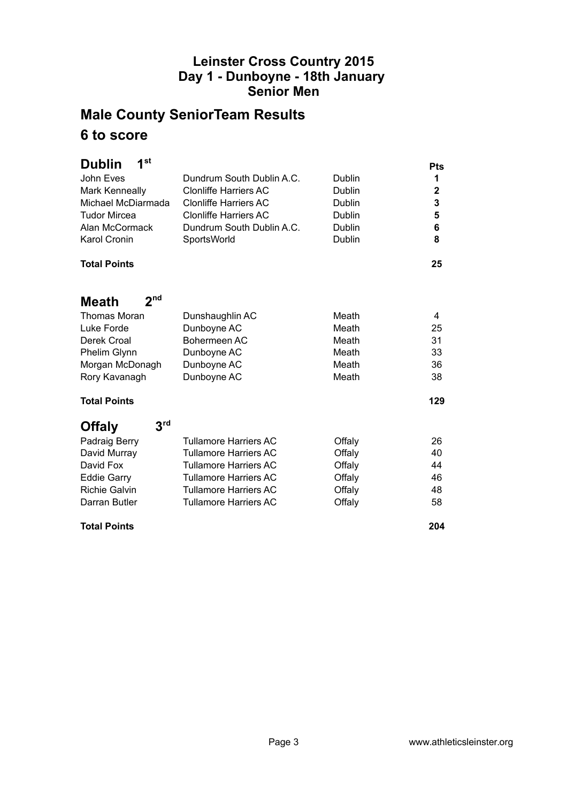# **Male County SeniorTeam Results 6 to score**

| 1 <sup>st</sup><br><b>Dublin</b> |                              |        | <b>Pts</b>  |
|----------------------------------|------------------------------|--------|-------------|
| John Eves                        | Dundrum South Dublin A.C.    | Dublin | 1           |
| <b>Mark Kenneally</b>            | Clonliffe Harriers AC        | Dublin | $\mathbf 2$ |
| Michael McDiarmada               | <b>Clonliffe Harriers AC</b> | Dublin | 3           |
| <b>Tudor Mircea</b>              | <b>Clonliffe Harriers AC</b> | Dublin | 5           |
| Alan McCormack                   | Dundrum South Dublin A.C.    | Dublin | 6           |
| Karol Cronin                     | SportsWorld                  | Dublin | 8           |
| <b>Total Points</b>              |                              |        | 25          |
| 2 <sub>nd</sub><br>Meath         |                              |        |             |
| Thomas Moran                     | Dunshaughlin AC              | Meath  | 4           |
| Luke Forde                       | Dunboyne AC                  | Meath  | 25          |
| Derek Croal                      | Bohermeen AC                 | Meath  | 31          |
| Phelim Glynn                     | Dunboyne AC                  | Meath  | 33          |
| Morgan McDonagh                  | Dunboyne AC                  | Meath  | 36          |
| Rory Kavanagh                    | Dunboyne AC                  | Meath  | 38          |
| <b>Total Points</b>              |                              |        | 129         |
| 3 <sup>rd</sup><br><b>Offaly</b> |                              |        |             |
| Padraig Berry                    | <b>Tullamore Harriers AC</b> | Offaly | 26          |
| David Murray                     | <b>Tullamore Harriers AC</b> | Offaly | 40          |
| David Fox                        | <b>Tullamore Harriers AC</b> | Offaly | 44          |
| <b>Eddie Garry</b>               | <b>Tullamore Harriers AC</b> | Offaly | 46          |
| <b>Richie Galvin</b>             | <b>Tullamore Harriers AC</b> | Offaly | 48          |
| Darran Butler                    | <b>Tullamore Harriers AC</b> | Offaly | 58          |
| <b>Total Points</b>              |                              |        | 204         |